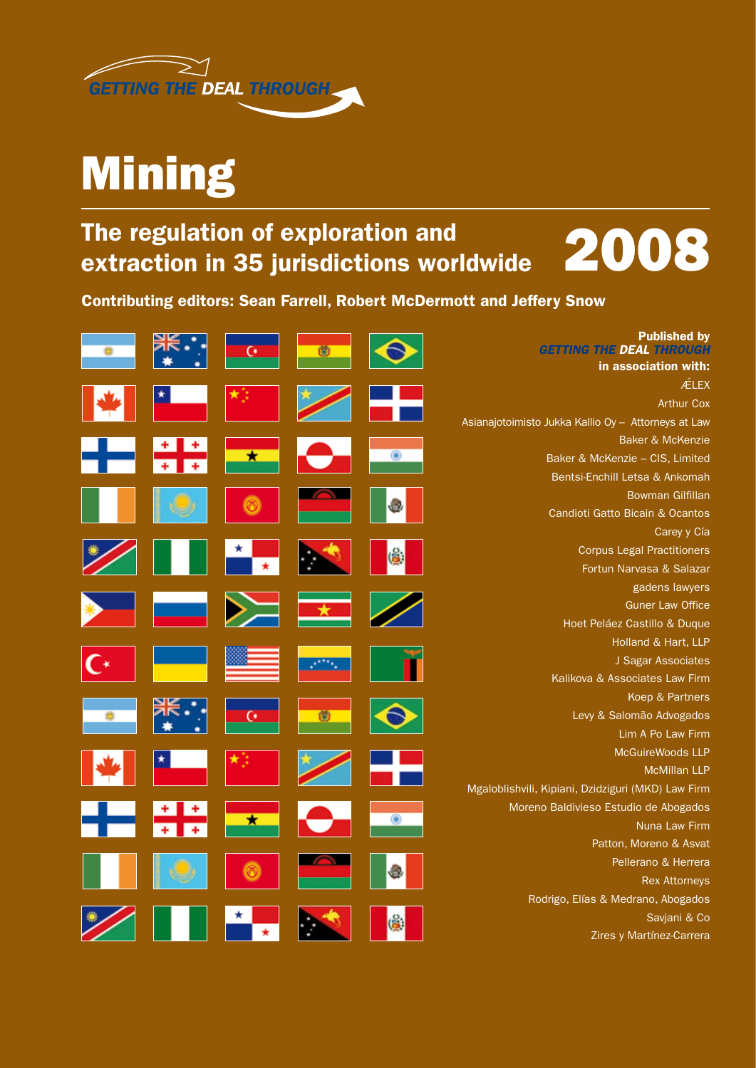

## Mining

## The regulation of exploration and extraction in 35 jurisdictions worldwide



Contributing editors: Sean Farrell, Robert McDermott and Jeffery Snow

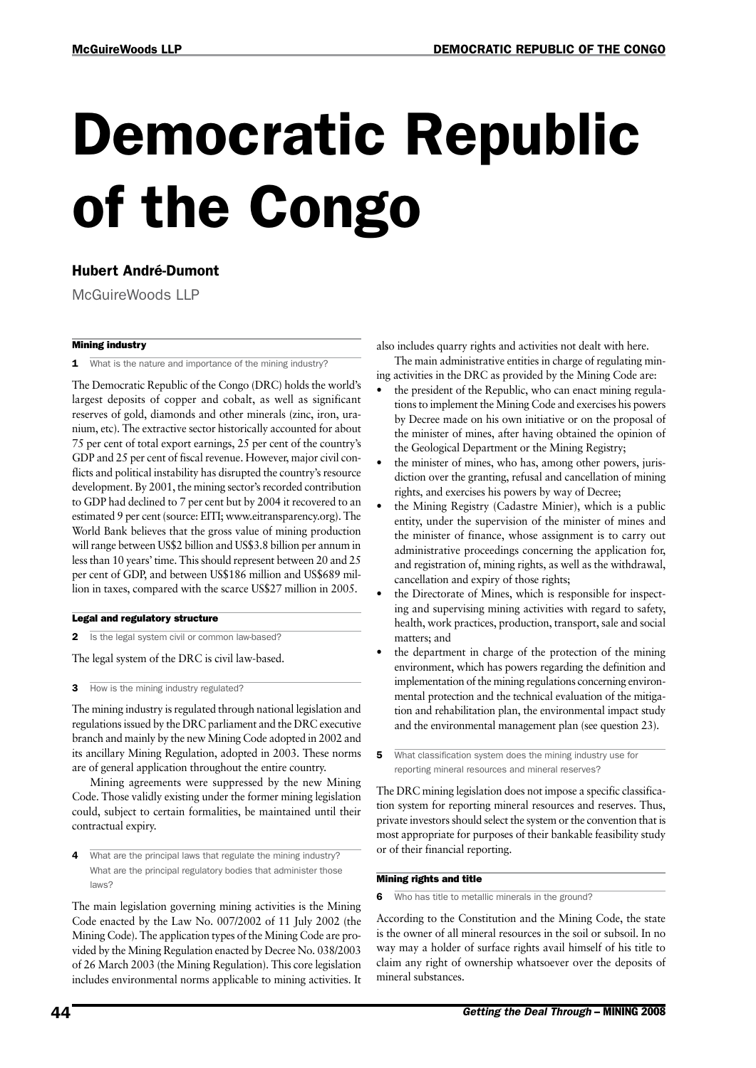# Democratic Republic of the Congo

### Hubert André-Dumont

McGuireWoods LLP

### Mining industry

1 What is the nature and importance of the mining industry?

The Democratic Republic of the Congo (DRC) holds the world's largest deposits of copper and cobalt, as well as significant reserves of gold, diamonds and other minerals (zinc, iron, uranium, etc). The extractive sector historically accounted for about 75 per cent of total export earnings, 25 per cent of the country's GDP and 25 per cent of fiscal revenue. However, major civil conflicts and political instability has disrupted the country's resource development. By 2001, the mining sector's recorded contribution to GDP had declined to 7 per cent but by 2004 it recovered to an estimated 9 per cent (source: EITI; www.eitransparency.org). The World Bank believes that the gross value of mining production will range between US\$2 billion and US\$3.8 billion per annum in less than 10 years' time. This should represent between 20 and 25 per cent of GDP, and between US\$186 million and US\$689 million in taxes, compared with the scarce US\$27 million in 2005.

#### Legal and regulatory structure

2 Is the legal system civil or common law-based?

The legal system of the DRC is civil law-based.

**3** How is the mining industry regulated?

The mining industry is regulated through national legislation and regulations issued by the DRC parliament and the DRC executive branch and mainly by the new Mining Code adopted in 2002 and its ancillary Mining Regulation, adopted in 2003. These norms are of general application throughout the entire country.

Mining agreements were suppressed by the new Mining Code. Those validly existing under the former mining legislation could, subject to certain formalities, be maintained until their contractual expiry.

4 What are the principal laws that regulate the mining industry? What are the principal regulatory bodies that administer those laws?

The main legislation governing mining activities is the Mining Code enacted by the Law No. 007/2002 of 11 July 2002 (the Mining Code). The application types of the Mining Code are provided by the Mining Regulation enacted by Decree No. 038/2003 of 26 March 2003 (the Mining Regulation). This core legislation includes environmental norms applicable to mining activities. It also includes quarry rights and activities not dealt with here.

The main administrative entities in charge of regulating mining activities in the DRC as provided by the Mining Code are:

- the president of the Republic, who can enact mining regulations to implement the Mining Code and exercises his powers by Decree made on his own initiative or on the proposal of the minister of mines, after having obtained the opinion of the Geological Department or the Mining Registry;
- the minister of mines, who has, among other powers, jurisdiction over the granting, refusal and cancellation of mining rights, and exercises his powers by way of Decree;
- the Mining Registry (Cadastre Minier), which is a public entity, under the supervision of the minister of mines and the minister of finance, whose assignment is to carry out administrative proceedings concerning the application for, and registration of, mining rights, as well as the withdrawal, cancellation and expiry of those rights;
- the Directorate of Mines, which is responsible for inspecting and supervising mining activities with regard to safety, health, work practices, production, transport, sale and social matters; and
- the department in charge of the protection of the mining environment, which has powers regarding the definition and implementation of the mining regulations concerning environmental protection and the technical evaluation of the mitigation and rehabilitation plan, the environmental impact study and the environmental management plan (see question 23).
- 5 What classification system does the mining industry use for reporting mineral resources and mineral reserves?

The DRC mining legislation does not impose a specific classification system for reporting mineral resources and reserves. Thus, private investors should select the system or the convention that is most appropriate for purposes of their bankable feasibility study or of their financial reporting.

### Mining rights and title

Who has title to metallic minerals in the ground?

According to the Constitution and the Mining Code, the state is the owner of all mineral resources in the soil or subsoil. In no way may a holder of surface rights avail himself of his title to claim any right of ownership whatsoever over the deposits of mineral substances.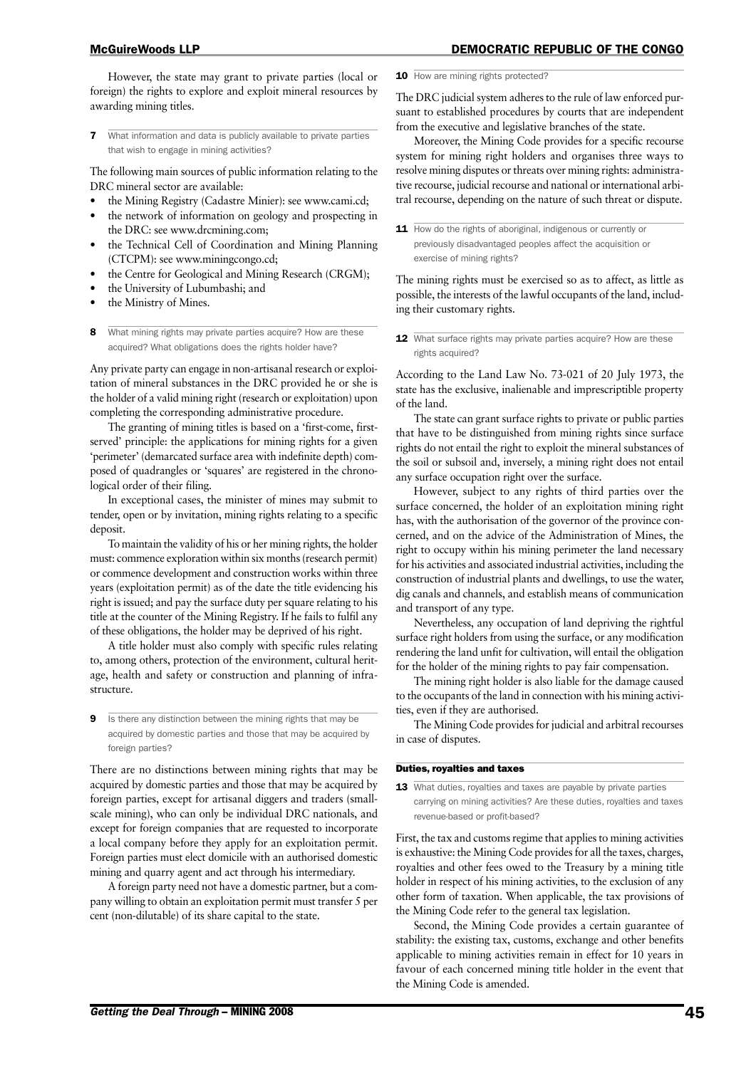#### McGuireWoods LLP DEMOCRATIC REPUBLIC OF THE CONGO

However, the state may grant to private parties (local or foreign) the rights to explore and exploit mineral resources by awarding mining titles.

**7** What information and data is publicly available to private parties that wish to engage in mining activities?

The following main sources of public information relating to the DRC mineral sector are available:

- the Mining Registry (Cadastre Minier): see www.cami.cd;
- the network of information on geology and prospecting in the DRC: see www.drcmining.com;
- the Technical Cell of Coordination and Mining Planning (CTCPM): see www.miningcongo.cd;
- the Centre for Geological and Mining Research (CRGM);
- the University of Lubumbashi; and
- the Ministry of Mines.
- 8 What mining rights may private parties acquire? How are these acquired? What obligations does the rights holder have?

Any private party can engage in non-artisanal research or exploitation of mineral substances in the DRC provided he or she is the holder of a valid mining right (research or exploitation) upon completing the corresponding administrative procedure.

The granting of mining titles is based on a 'first-come, firstserved' principle: the applications for mining rights for a given 'perimeter' (demarcated surface area with indefinite depth) composed of quadrangles or 'squares' are registered in the chronological order of their filing.

In exceptional cases, the minister of mines may submit to tender, open or by invitation, mining rights relating to a specific deposit.

To maintain the validity of his or her mining rights, the holder must: commence exploration within six months (research permit) or commence development and construction works within three years (exploitation permit) as of the date the title evidencing his right is issued; and pay the surface duty per square relating to his title at the counter of the Mining Registry. If he fails to fulfil any of these obligations, the holder may be deprived of his right.

A title holder must also comply with specific rules relating to, among others, protection of the environment, cultural heritage, health and safety or construction and planning of infrastructure.

Is there any distinction between the mining rights that may be acquired by domestic parties and those that may be acquired by foreign parties?

There are no distinctions between mining rights that may be acquired by domestic parties and those that may be acquired by foreign parties, except for artisanal diggers and traders (smallscale mining), who can only be individual DRC nationals, and except for foreign companies that are requested to incorporate a local company before they apply for an exploitation permit. Foreign parties must elect domicile with an authorised domestic mining and quarry agent and act through his intermediary.

A foreign party need not have a domestic partner, but a company willing to obtain an exploitation permit must transfer 5 per cent (non-dilutable) of its share capital to the state.

10 How are mining rights protected?

The DRC judicial system adheres to the rule of law enforced pursuant to established procedures by courts that are independent from the executive and legislative branches of the state.

Moreover, the Mining Code provides for a specific recourse system for mining right holders and organises three ways to resolve mining disputes or threats over mining rights: administrative recourse, judicial recourse and national or international arbitral recourse, depending on the nature of such threat or dispute.

11 How do the rights of aboriginal, indigenous or currently or previously disadvantaged peoples affect the acquisition or exercise of mining rights?

The mining rights must be exercised so as to affect, as little as possible, the interests of the lawful occupants of the land, including their customary rights.

12 What surface rights may private parties acquire? How are these rights acquired?

According to the Land Law No. 73-021 of 20 July 1973, the state has the exclusive, inalienable and imprescriptible property of the land.

The state can grant surface rights to private or public parties that have to be distinguished from mining rights since surface rights do not entail the right to exploit the mineral substances of the soil or subsoil and, inversely, a mining right does not entail any surface occupation right over the surface.

However, subject to any rights of third parties over the surface concerned, the holder of an exploitation mining right has, with the authorisation of the governor of the province concerned, and on the advice of the Administration of Mines, the right to occupy within his mining perimeter the land necessary for his activities and associated industrial activities, including the construction of industrial plants and dwellings, to use the water, dig canals and channels, and establish means of communication and transport of any type.

Nevertheless, any occupation of land depriving the rightful surface right holders from using the surface, or any modification rendering the land unfit for cultivation, will entail the obligation for the holder of the mining rights to pay fair compensation.

The mining right holder is also liable for the damage caused to the occupants of the land in connection with his mining activities, even if they are authorised.

The Mining Code provides for judicial and arbitral recourses in case of disputes.

#### Duties, royalties and taxes

13 What duties, royalties and taxes are payable by private parties carrying on mining activities? Are these duties, royalties and taxes revenue-based or profit-based?

First, the tax and customs regime that applies to mining activities is exhaustive: the Mining Code provides for all the taxes, charges, royalties and other fees owed to the Treasury by a mining title holder in respect of his mining activities, to the exclusion of any other form of taxation. When applicable, the tax provisions of the Mining Code refer to the general tax legislation.

Second, the Mining Code provides a certain guarantee of stability: the existing tax, customs, exchange and other benefits applicable to mining activities remain in effect for 10 years in favour of each concerned mining title holder in the event that the Mining Code is amended.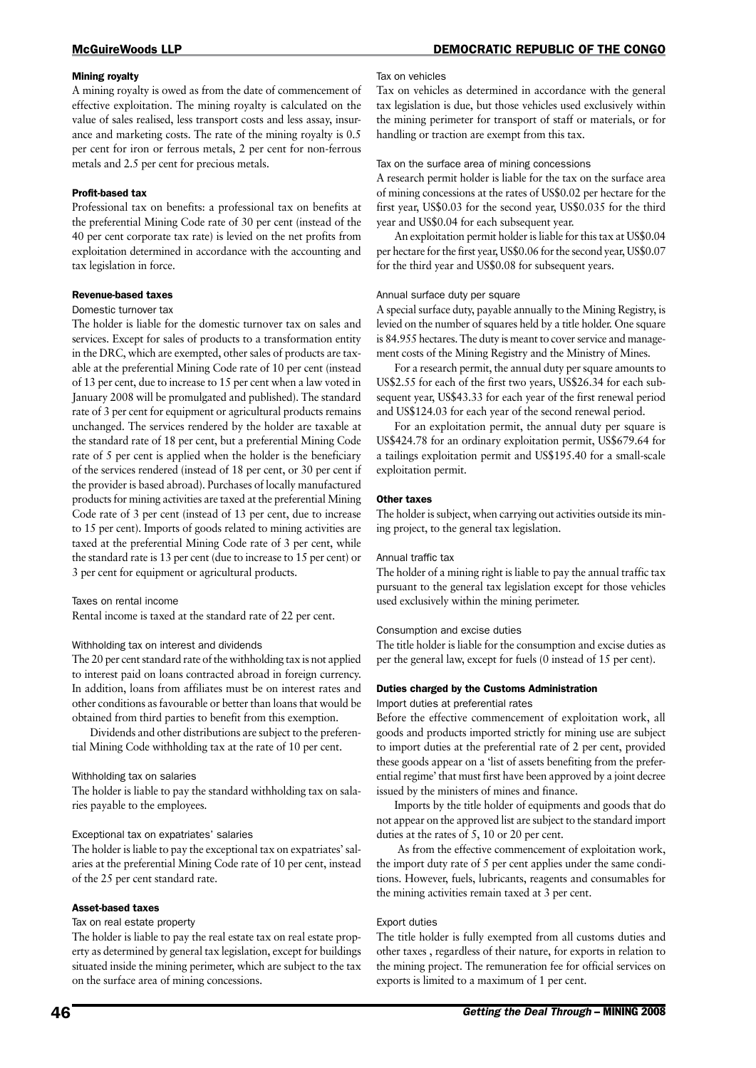#### Mining royalty

A mining royalty is owed as from the date of commencement of effective exploitation. The mining royalty is calculated on the value of sales realised, less transport costs and less assay, insurance and marketing costs. The rate of the mining royalty is 0.5 per cent for iron or ferrous metals, 2 per cent for non-ferrous metals and 2.5 per cent for precious metals.

#### Profit-based tax

Professional tax on benefits: a professional tax on benefits at the preferential Mining Code rate of 30 per cent (instead of the 40 per cent corporate tax rate) is levied on the net profits from exploitation determined in accordance with the accounting and tax legislation in force.

#### Revenue-based taxes

#### Domestic turnover tax

The holder is liable for the domestic turnover tax on sales and services. Except for sales of products to a transformation entity in the DRC, which are exempted, other sales of products are taxable at the preferential Mining Code rate of 10 per cent (instead of 13 per cent, due to increase to 15 per cent when a law voted in January 2008 will be promulgated and published). The standard rate of 3 per cent for equipment or agricultural products remains unchanged. The services rendered by the holder are taxable at the standard rate of 18 per cent, but a preferential Mining Code rate of 5 per cent is applied when the holder is the beneficiary of the services rendered (instead of 18 per cent, or 30 per cent if the provider is based abroad). Purchases of locally manufactured products for mining activities are taxed at the preferential Mining Code rate of 3 per cent (instead of 13 per cent, due to increase to 15 per cent). Imports of goods related to mining activities are taxed at the preferential Mining Code rate of 3 per cent, while the standard rate is 13 per cent (due to increase to 15 per cent) or 3 per cent for equipment or agricultural products.

#### Taxes on rental income

Rental income is taxed at the standard rate of 22 per cent.

#### Withholding tax on interest and dividends

The 20 per cent standard rate of the withholding tax is not applied to interest paid on loans contracted abroad in foreign currency. In addition, loans from affiliates must be on interest rates and other conditions as favourable or better than loans that would be obtained from third parties to benefit from this exemption.

Dividends and other distributions are subject to the preferential Mining Code withholding tax at the rate of 10 per cent.

#### Withholding tax on salaries

The holder is liable to pay the standard withholding tax on salaries payable to the employees.

#### Exceptional tax on expatriates' salaries

The holder is liable to pay the exceptional tax on expatriates' salaries at the preferential Mining Code rate of 10 per cent, instead of the 25 per cent standard rate.

#### Asset-based taxes

#### Tax on real estate property

The holder is liable to pay the real estate tax on real estate property as determined by general tax legislation, except for buildings situated inside the mining perimeter, which are subject to the tax on the surface area of mining concessions.

#### Tax on vehicles

Tax on vehicles as determined in accordance with the general tax legislation is due, but those vehicles used exclusively within the mining perimeter for transport of staff or materials, or for handling or traction are exempt from this tax.

#### Tax on the surface area of mining concessions

A research permit holder is liable for the tax on the surface area of mining concessions at the rates of US\$0.02 per hectare for the first year, US\$0.03 for the second year, US\$0.035 for the third year and US\$0.04 for each subsequent year.

An exploitation permit holder is liable for this tax at US\$0.04 per hectare for the first year, US\$0.06 for the second year, US\$0.07 for the third year and US\$0.08 for subsequent years.

#### Annual surface duty per square

A special surface duty, payable annually to the Mining Registry, is levied on the number of squares held by a title holder. One square is 84.955 hectares. The duty is meant to cover service and management costs of the Mining Registry and the Ministry of Mines.

For a research permit, the annual duty per square amounts to US\$2.55 for each of the first two years, US\$26.34 for each subsequent year, US\$43.33 for each year of the first renewal period and US\$124.03 for each year of the second renewal period.

For an exploitation permit, the annual duty per square is US\$424.78 for an ordinary exploitation permit, US\$679.64 for a tailings exploitation permit and US\$195.40 for a small-scale exploitation permit.

#### Other taxes

The holder is subject, when carrying out activities outside its mining project, to the general tax legislation.

#### Annual traffic tax

The holder of a mining right is liable to pay the annual traffic tax pursuant to the general tax legislation except for those vehicles used exclusively within the mining perimeter.

#### Consumption and excise duties

The title holder is liable for the consumption and excise duties as per the general law, except for fuels (0 instead of 15 per cent).

#### Duties charged by the Customs Administration

Import duties at preferential rates

Before the effective commencement of exploitation work, all goods and products imported strictly for mining use are subject to import duties at the preferential rate of 2 per cent, provided these goods appear on a 'list of assets benefiting from the preferential regime' that must first have been approved by a joint decree issued by the ministers of mines and finance.

Imports by the title holder of equipments and goods that do not appear on the approved list are subject to the standard import duties at the rates of 5, 10 or 20 per cent.

 As from the effective commencement of exploitation work, the import duty rate of 5 per cent applies under the same conditions. However, fuels, lubricants, reagents and consumables for the mining activities remain taxed at 3 per cent.

#### Export duties

The title holder is fully exempted from all customs duties and other taxes , regardless of their nature, for exports in relation to the mining project. The remuneration fee for official services on exports is limited to a maximum of 1 per cent.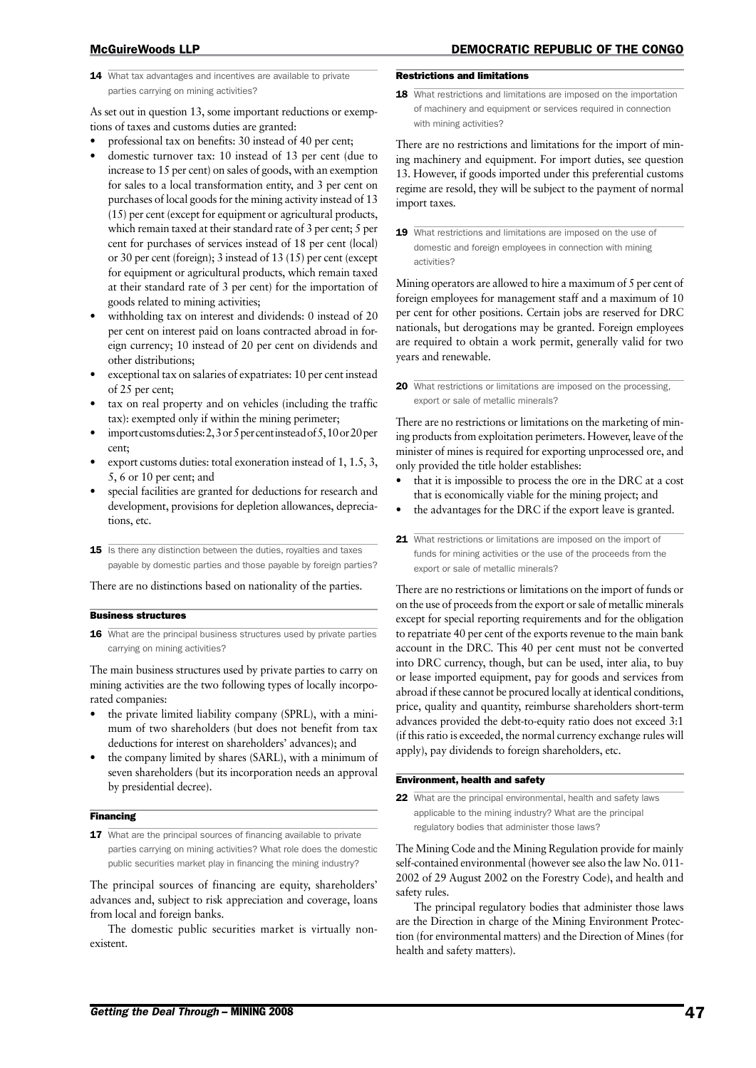14 What tax advantages and incentives are available to private parties carrying on mining activities?

As set out in question 13, some important reductions or exemptions of taxes and customs duties are granted:

- professional tax on benefits: 30 instead of 40 per cent;
- domestic turnover tax: 10 instead of 13 per cent (due to increase to 15 per cent) on sales of goods, with an exemption for sales to a local transformation entity, and 3 per cent on purchases of local goods for the mining activity instead of 13 (15) per cent (except for equipment or agricultural products, which remain taxed at their standard rate of 3 per cent; 5 per cent for purchases of services instead of 18 per cent (local) or 30 per cent (foreign); 3 instead of 13 (15) per cent (except for equipment or agricultural products, which remain taxed at their standard rate of 3 per cent) for the importation of goods related to mining activities;
- withholding tax on interest and dividends: 0 instead of 20 per cent on interest paid on loans contracted abroad in foreign currency; 10 instead of 20 per cent on dividends and other distributions;
- exceptional tax on salaries of expatriates: 10 per cent instead of 25 per cent;
- tax on real property and on vehicles (including the traffic tax): exempted only if within the mining perimeter;
- import customs duties: 2, 3 or 5 per cent instead of 5, 10 or 20 per cent;
- export customs duties: total exoneration instead of 1, 1.5, 3, 5, 6 or 10 per cent; and
- special facilities are granted for deductions for research and development, provisions for depletion allowances, depreciations, etc.
- 15 Is there any distinction between the duties, royalties and taxes payable by domestic parties and those payable by foreign parties?

There are no distinctions based on nationality of the parties.

#### Business structures

16 What are the principal business structures used by private parties carrying on mining activities?

The main business structures used by private parties to carry on mining activities are the two following types of locally incorporated companies:

- the private limited liability company (SPRL), with a minimum of two shareholders (but does not benefit from tax deductions for interest on shareholders' advances); and
- the company limited by shares (SARL), with a minimum of seven shareholders (but its incorporation needs an approval by presidential decree).

#### **Financing**

17 What are the principal sources of financing available to private parties carrying on mining activities? What role does the domestic public securities market play in financing the mining industry?

The principal sources of financing are equity, shareholders' advances and, subject to risk appreciation and coverage, loans from local and foreign banks.

The domestic public securities market is virtually nonexistent.

### Restrictions and limitations

18 What restrictions and limitations are imposed on the importation of machinery and equipment or services required in connection with mining activities?

There are no restrictions and limitations for the import of mining machinery and equipment. For import duties, see question 13. However, if goods imported under this preferential customs regime are resold, they will be subject to the payment of normal import taxes.

19 What restrictions and limitations are imposed on the use of domestic and foreign employees in connection with mining activities?

Mining operators are allowed to hire a maximum of 5 per cent of foreign employees for management staff and a maximum of 10 per cent for other positions. Certain jobs are reserved for DRC nationals, but derogations may be granted. Foreign employees are required to obtain a work permit, generally valid for two years and renewable.

20 What restrictions or limitations are imposed on the processing, export or sale of metallic minerals?

There are no restrictions or limitations on the marketing of mining products from exploitation perimeters. However, leave of the minister of mines is required for exporting unprocessed ore, and only provided the title holder establishes:

- that it is impossible to process the ore in the DRC at a cost that is economically viable for the mining project; and
- the advantages for the DRC if the export leave is granted.
- 21 What restrictions or limitations are imposed on the import of funds for mining activities or the use of the proceeds from the export or sale of metallic minerals?

There are no restrictions or limitations on the import of funds or on the use of proceeds from the export or sale of metallic minerals except for special reporting requirements and for the obligation to repatriate 40 per cent of the exports revenue to the main bank account in the DRC. This 40 per cent must not be converted into DRC currency, though, but can be used, inter alia, to buy or lease imported equipment, pay for goods and services from abroad if these cannot be procured locally at identical conditions, price, quality and quantity, reimburse shareholders short-term advances provided the debt-to-equity ratio does not exceed 3:1 (if this ratio is exceeded, the normal currency exchange rules will apply), pay dividends to foreign shareholders, etc.

#### Environment, health and safety

22 What are the principal environmental, health and safety laws applicable to the mining industry? What are the principal regulatory bodies that administer those laws?

The Mining Code and the Mining Regulation provide for mainly self-contained environmental (however see also the law No. 011- 2002 of 29 August 2002 on the Forestry Code), and health and safety rules.

The principal regulatory bodies that administer those laws are the Direction in charge of the Mining Environment Protection (for environmental matters) and the Direction of Mines (for health and safety matters).